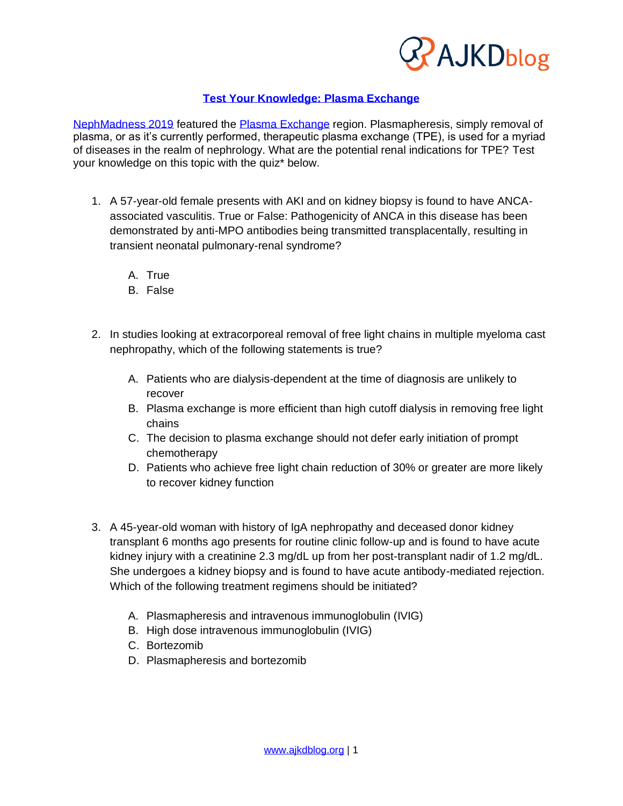

### **[Test Your Knowledge: Plasma Exchange](https://wp.me/p1IgOp-5Bg)**

[NephMadness 2019](https://ajkdblog.org/tag/nephmadness2019/) featured the [Plasma Exchange](http://ajkdblog.org/2019/03/15/nephmadness-2019-plasma-exchange-region/) region. Plasmapheresis, simply removal of plasma, or as it's currently performed, therapeutic plasma exchange (TPE), is used for a myriad of diseases in the realm of nephrology. What are the potential renal indications for TPE? Test your knowledge on this topic with the quiz\* below.

- 1. A 57-year-old female presents with AKI and on kidney biopsy is found to have ANCAassociated vasculitis. True or False: Pathogenicity of ANCA in this disease has been demonstrated by anti-MPO antibodies being transmitted transplacentally, resulting in transient neonatal pulmonary-renal syndrome?
	- A. True
	- B. False
- 2. In studies looking at extracorporeal removal of free light chains in multiple myeloma cast nephropathy, which of the following statements is true?
	- A. Patients who are dialysis-dependent at the time of diagnosis are unlikely to recover
	- B. Plasma exchange is more efficient than high cutoff dialysis in removing free light chains
	- C. The decision to plasma exchange should not defer early initiation of prompt chemotherapy
	- D. Patients who achieve free light chain reduction of 30% or greater are more likely to recover kidney function
- 3. A 45-year-old woman with history of IgA nephropathy and deceased donor kidney transplant 6 months ago presents for routine clinic follow-up and is found to have acute kidney injury with a creatinine 2.3 mg/dL up from her post-transplant nadir of 1.2 mg/dL. She undergoes a kidney biopsy and is found to have acute antibody-mediated rejection. Which of the following treatment regimens should be initiated?
	- A. Plasmapheresis and intravenous immunoglobulin (IVIG)
	- B. High dose intravenous immunoglobulin (IVIG)
	- C. Bortezomib
	- D. Plasmapheresis and bortezomib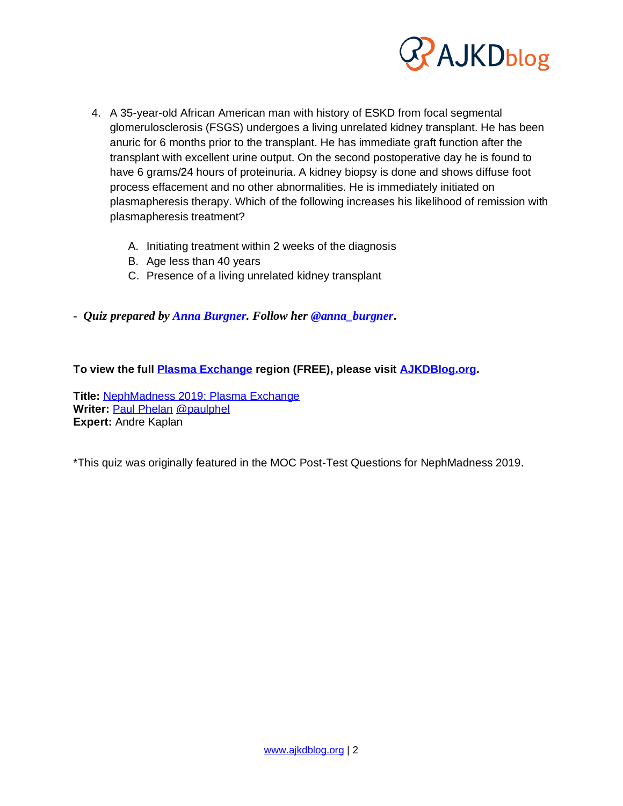

- 4. A 35-year-old African American man with history of ESKD from focal segmental glomerulosclerosis (FSGS) undergoes a living unrelated kidney transplant. He has been anuric for 6 months prior to the transplant. He has immediate graft function after the transplant with excellent urine output. On the second postoperative day he is found to have 6 grams/24 hours of proteinuria. A kidney biopsy is done and shows diffuse foot process effacement and no other abnormalities. He is immediately initiated on plasmapheresis therapy. Which of the following increases his likelihood of remission with plasmapheresis treatment?
	- A. Initiating treatment within 2 weeks of the diagnosis
	- B. Age less than 40 years
	- C. Presence of a living unrelated kidney transplant
- *- Quiz prepared by [Anna Burgner.](https://ajkdblog.org/meet-the-team/anna-burgner/) Follow her [@anna\\_burgner](https://twitter.com/anna_burgner)***.**

#### **To view the full [Plasma Exchange](https://ajkdblog.org/2019/03/15/nephmadness-2019-plasma-exchange-region/) region (FREE), please visit [AJKDBlog.org.](https://ajkdblog.org/tag/nephmadness2019)**

**Title:** [NephMadness 2019: Plasma Exchange](https://ajkdblog.org/2019/03/15/nephmadness-2019-plasma-exchange-region/) **Writer:** [Paul Phelan](https://ajkdblog.org/meet-the-team/paul-phelan/) [@paulphel](https://twitter.com/paulphel) **Expert:** Andre Kaplan

\*This quiz was originally featured in the MOC Post-Test Questions for NephMadness 2019.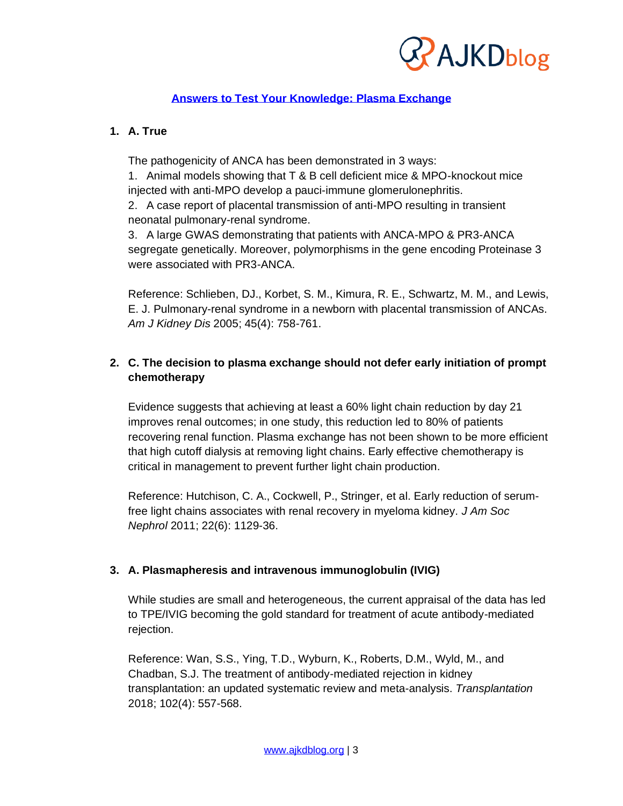

## **Answers to [Test Your Knowledge: Plasma Exchange](https://wp.me/p1IgOp-5Bg)**

## **1. A. True**

The pathogenicity of ANCA has been demonstrated in 3 ways:

1. Animal models showing that T & B cell deficient mice & MPO-knockout mice injected with anti-MPO develop a pauci-immune glomerulonephritis.

2. A case report of placental transmission of anti-MPO resulting in transient neonatal pulmonary-renal syndrome.

3. A large GWAS demonstrating that patients with ANCA-MPO & PR3-ANCA segregate genetically. Moreover, polymorphisms in the gene encoding Proteinase 3 were associated with PR3-ANCA.

Reference: Schlieben, DJ., Korbet, S. M., Kimura, R. E., Schwartz, M. M., and Lewis, E. J. Pulmonary-renal syndrome in a newborn with placental transmission of ANCAs. *Am J Kidney Dis* 2005; 45(4): 758-761.

## **2. C. The decision to plasma exchange should not defer early initiation of prompt chemotherapy**

Evidence suggests that achieving at least a 60% light chain reduction by day 21 improves renal outcomes; in one study, this reduction led to 80% of patients recovering renal function. Plasma exchange has not been shown to be more efficient that high cutoff dialysis at removing light chains. Early effective chemotherapy is critical in management to prevent further light chain production.

Reference: Hutchison, C. A., Cockwell, P., Stringer, et al. Early reduction of serumfree light chains associates with renal recovery in myeloma kidney. *J Am Soc Nephrol* 2011; 22(6): 1129-36.

# **3. A. Plasmapheresis and intravenous immunoglobulin (IVIG)**

While studies are small and heterogeneous, the current appraisal of the data has led to TPE/IVIG becoming the gold standard for treatment of acute antibody-mediated rejection.

Reference: Wan, S.S., Ying, T.D., Wyburn, K., Roberts, D.M., Wyld, M., and Chadban, S.J. The treatment of antibody-mediated rejection in kidney transplantation: an updated systematic review and meta-analysis. *Transplantation*  2018; 102(4): 557-568.